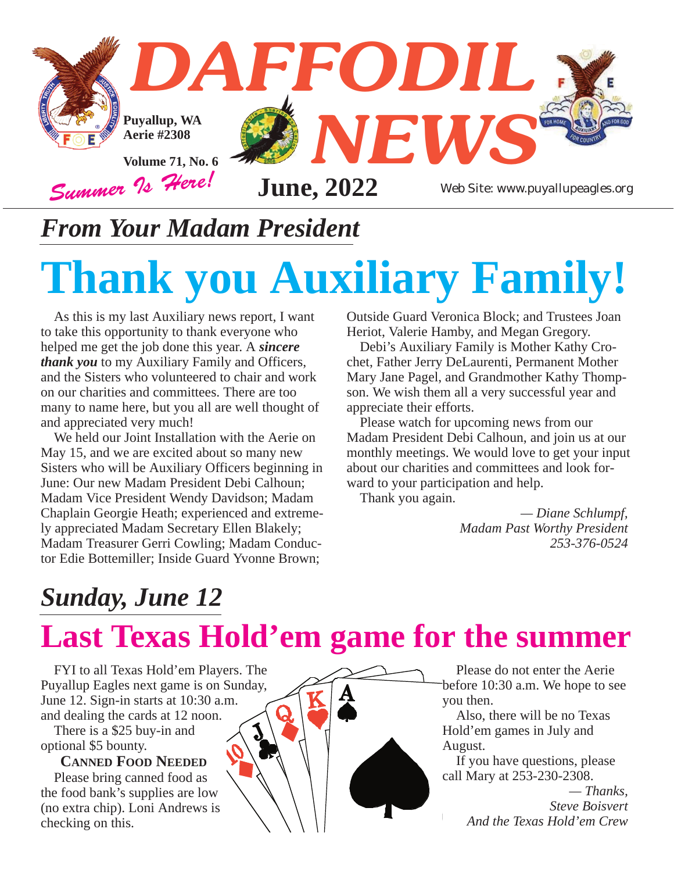

#### *From Your Madam President*

# **Thank you Auxiliary Family!**

As this is my last Auxiliary news report, I want to take this opportunity to thank everyone who helped me get the job done this year. A *sincere thank you* to my Auxiliary Family and Officers, and the Sisters who volunteered to chair and work on our charities and committees. There are too many to name here, but you all are well thought of and appreciated very much!

We held our Joint Installation with the Aerie on May 15, and we are excited about so many new Sisters who will be Auxiliary Officers beginning in June: Our new Madam President Debi Calhoun; Madam Vice President Wendy Davidson; Madam Chaplain Georgie Heath; experienced and extremely appreciated Madam Secretary Ellen Blakely; Madam Treasurer Gerri Cowling; Madam Conductor Edie Bottemiller; Inside Guard Yvonne Brown;

Outside Guard Veronica Block; and Trustees Joan Heriot, Valerie Hamby, and Megan Gregory.

Debi's Auxiliary Family is Mother Kathy Crochet, Father Jerry DeLaurenti, Permanent Mother Mary Jane Pagel, and Grandmother Kathy Thompson. We wish them all a very successful year and appreciate their efforts.

Please watch for upcoming news from our Madam President Debi Calhoun, and join us at our monthly meetings. We would love to get your input about our charities and committees and look forward to your participation and help.

Thank you again.

*— Diane Schlumpf, Madam Past Worthy President 253-376-0524*

#### *Sunday, June 12*

## **Last Texas Hold'em game for the summer**

FYI to all Texas Hold'em Players. The Puyallup Eagles next game is on Sunday, June 12. Sign-in starts at 10:30 a.m. and dealing the cards at 12 noon.

There is a \$25 buy-in and optional \$5 bounty.

**CANNED FOOD NEEDED** Please bring canned food as

the food bank's supplies are low (no extra chip). Loni Andrews is checking on this.



Please do not enter the Aerie before 10:30 a.m. We hope to see you then.

Also, there will be no Texas Hold'em games in July and August.

If you have questions, please call Mary at 253-230-2308.

*— Thanks, Steve Boisvert And the Texas Hold'em Crew*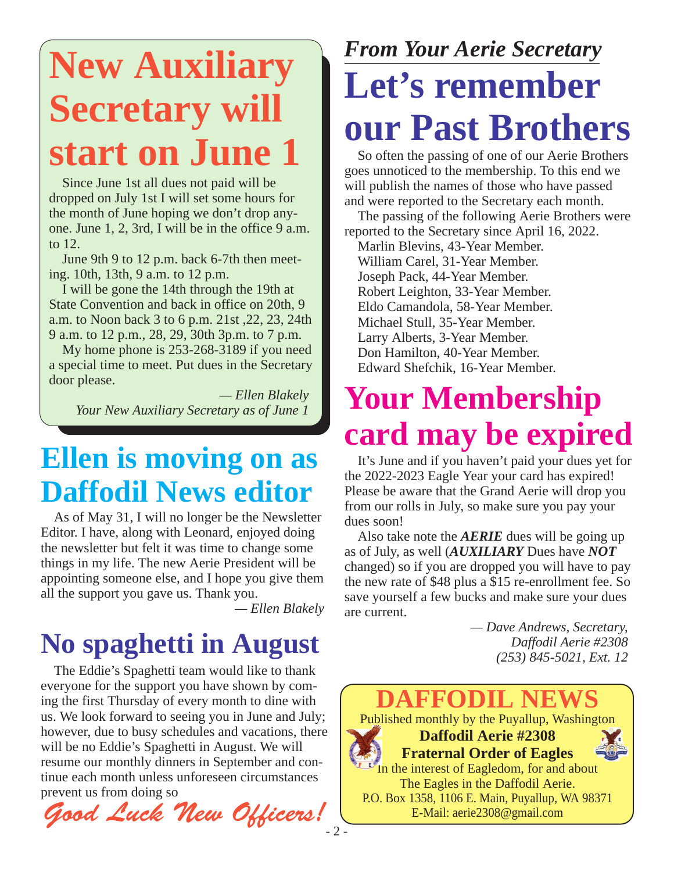## **New Auxiliary Secretary will start on June 1**

Since June 1st all dues not paid will be dropped on July 1st I will set some hours for the month of June hoping we don't drop anyone. June 1, 2, 3rd, I will be in the office 9 a.m. to 12.

June 9th 9 to 12 p.m. back 6-7th then meeting. 10th, 13th, 9 a.m. to 12 p.m.

I will be gone the 14th through the 19th at State Convention and back in office on 20th, 9 a.m. to Noon back 3 to 6 p.m. 21st ,22, 23, 24th 9 a.m. to 12 p.m., 28, 29, 30th 3p.m. to 7 p.m.

My home phone is 253-268-3189 if you need a special time to meet. Put dues in the Secretary door please.

*— Ellen Blakely Your New Auxiliary Secretary as of June 1*

#### **Ellen is moving on as Daffodil News editor**

As of May 31, I will no longer be the Newsletter Editor. I have, along with Leonard, enjoyed doing the newsletter but felt it was time to change some things in my life. The new Aerie President will be appointing someone else, and I hope you give them all the support you gave us. Thank you.

*— Ellen Blakely*

### **No spaghetti in August**

The Eddie's Spaghetti team would like to thank everyone for the support you have shown by coming the first Thursday of every month to dine with us. We look forward to seeing you in June and July; however, due to busy schedules and vacations, there will be no Eddie's Spaghetti in August. We will resume our monthly dinners in September and continue each month unless unforeseen circumstances prevent us from doing so

*Good Luck New Officers!*

## *From Your Aerie Secretary* **Let's remember our Past Brothers**

So often the passing of one of our Aerie Brothers goes unnoticed to the membership. To this end we will publish the names of those who have passed and were reported to the Secretary each month.

The passing of the following Aerie Brothers were reported to the Secretary since April 16, 2022.

Marlin Blevins, 43-Year Member. William Carel, 31-Year Member. Joseph Pack, 44-Year Member. Robert Leighton, 33-Year Member. Eldo Camandola, 58-Year Member. Michael Stull, 35-Year Member. Larry Alberts, 3-Year Member. Don Hamilton, 40-Year Member. Edward Shefchik, 16-Year Member.

## **Your Membership card may be expired**

It's June and if you haven't paid your dues yet for the 2022-2023 Eagle Year your card has expired! Please be aware that the Grand Aerie will drop you from our rolls in July, so make sure you pay your dues soon!

Also take note the *AERIE* dues will be going up as of July, as well (*AUXILIARY* Dues have *NOT* changed) so if you are dropped you will have to pay the new rate of \$48 plus a \$15 re-enrollment fee. So save yourself a few bucks and make sure your dues are current.

*— Dave Andrews, Secretary, Daffodil Aerie #2308 (253) 845-5021, Ext. 12*

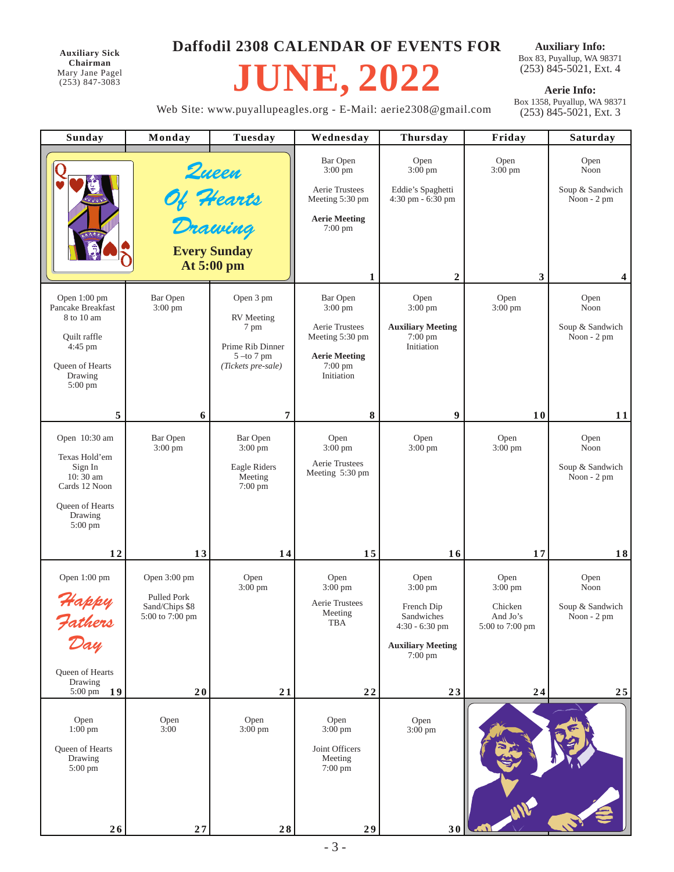**Auxiliary Sick Chairman** Mary Jane Pagel (253) 847-3083

#### **Daffodil 2308 CALENDAR OF EVENTS FOR**

## **JUNE, 2022**

**Auxiliary Info:** Box 83, Puyallup, WA 98371 (253) 845-5021, Ext. 4

**Aerie Info:**<br>Box 1358, Puyallup, WA 98371 (253) 845-5021, Ext. 3

Web Site: www.puyallupeagles.org - E-Mail: aerie2308@gmail.com

| Sunday                                                | Monday                                           | Tuesday                                                 | Wednesday                                 | <b>Thursday</b>                               | Friday                    | Saturday                       |
|-------------------------------------------------------|--------------------------------------------------|---------------------------------------------------------|-------------------------------------------|-----------------------------------------------|---------------------------|--------------------------------|
|                                                       | Queen<br>Of <del>H</del> earts<br>Drawing        |                                                         | <b>Bar Open</b><br>$3:00 \text{ pm}$      | Open<br>3:00 pm                               | Open<br>3:00 pm           | Open<br>Noon                   |
|                                                       |                                                  |                                                         | Aerie Trustees<br>Meeting 5:30 pm         | Eddie's Spaghetti<br>4:30 pm - 6:30 pm        |                           | Soup & Sandwich<br>Noon - 2 pm |
|                                                       |                                                  |                                                         | <b>Aerie Meeting</b><br>7:00 pm           |                                               |                           |                                |
|                                                       |                                                  | <b>Every Sunday</b><br>At 5:00 pm                       |                                           |                                               |                           |                                |
|                                                       |                                                  |                                                         | 1                                         | $\mathbf{2}$                                  | 3                         | 4                              |
| Open 1:00 pm<br>Pancake Breakfast<br>8 to 10 am       | <b>Bar Open</b><br>3:00 pm                       | Open 3 pm<br><b>RV</b> Meeting                          | <b>Bar Open</b><br>3:00 pm                | Open<br>3:00 pm                               | Open<br>$3:00$ pm         | Open<br>Noon                   |
| Quilt raffle                                          |                                                  | 7 pm                                                    | Aerie Trustees<br>Meeting 5:30 pm         | <b>Auxiliary Meeting</b><br>$7:00 \text{ pm}$ |                           | Soup & Sandwich<br>Noon - 2 pm |
| 4:45 pm<br>Queen of Hearts                            |                                                  | Prime Rib Dinner<br>$5 -$ to 7 pm<br>(Tickets pre-sale) | <b>Aerie Meeting</b><br>$7:00 \text{ pm}$ | Initiation                                    |                           |                                |
| Drawing<br>5:00 pm                                    |                                                  |                                                         | Initiation                                |                                               |                           |                                |
| 5                                                     | 6                                                | 7                                                       | 8                                         | 9                                             | 10                        | 11                             |
| Open 10:30 am                                         | Bar Open<br>$3:00 \text{ pm}$                    | Bar Open<br>$3:00 \text{ pm}$                           | Open<br>$3:00 \text{ pm}$                 | Open<br>$3:00 \text{ pm}$                     | Open<br>3:00 pm           | Open<br>Noon                   |
| Texas Hold'em<br>Sign In<br>10:30 am                  |                                                  | Eagle Riders<br>Meeting                                 | Aerie Trustees<br>Meeting 5:30 pm         |                                               |                           | Soup & Sandwich<br>Noon - 2 pm |
| Cards 12 Noon                                         |                                                  | 7:00 pm                                                 |                                           |                                               |                           |                                |
| Queen of Hearts<br>Drawing<br>$5:00 \text{ pm}$       |                                                  |                                                         |                                           |                                               |                           |                                |
| 12                                                    | 13                                               | 14                                                      | 15                                        | 16                                            | 17                        | 18                             |
| Open 1:00 pm                                          | Open 3:00 pm                                     | Open<br>$3:00 \text{ pm}$                               | Open<br>$3:00 \text{ pm}$                 | Open<br>$3:00$ pm                             | Open<br>$3:00 \text{ pm}$ | Open<br>Noon                   |
| Happy                                                 | Pulled Pork<br>Sand/Chips \$8<br>5:00 to 7:00 pm |                                                         | Aerie Trustees<br>Meeting                 | French Dip<br>Sandwiches                      | Chicken<br>And Jo's       | Soup & Sandwich<br>Noon - 2 pm |
| Fathers<br>Day                                        |                                                  |                                                         | TBA                                       | $4:30 - 6:30$ pm                              | 5:00 to 7:00 pm           |                                |
|                                                       |                                                  |                                                         |                                           | <b>Auxiliary Meeting</b><br>$7:00 \text{ pm}$ |                           |                                |
| Queen of Hearts<br>Drawing<br>19<br>$5:00 \text{ pm}$ | 20                                               | 21                                                      | $2\,2$                                    | 23                                            | 24                        | 25                             |
|                                                       |                                                  |                                                         |                                           |                                               |                           |                                |
| Open<br>$1:00 \text{ pm}$                             | Open<br>3:00                                     | Open<br>$3:00 \text{ pm}$                               | Open<br>$3:00 \text{ pm}$                 | Open<br>$3:00 \text{ pm}$                     |                           |                                |
| Queen of Hearts<br>Drawing<br>5:00 pm                 |                                                  |                                                         | Joint Officers<br>Meeting<br>7:00 pm      |                                               |                           |                                |
| 26                                                    | $27$                                             | $\bf 2\,8$                                              | 29                                        | 30                                            |                           |                                |